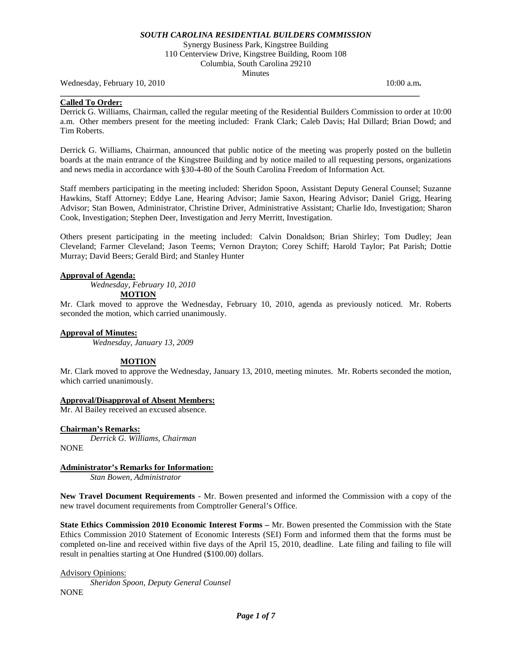Synergy Business Park, Kingstree Building

110 Centerview Drive, Kingstree Building, Room 108 Columbia, South Carolina 29210

**Minutes** 

**\_\_\_\_\_\_\_\_\_\_\_\_\_\_\_\_\_\_\_\_\_\_\_\_\_\_\_\_\_\_\_\_\_\_\_\_\_\_\_\_\_\_\_\_\_\_\_\_\_\_\_\_\_\_\_\_\_\_\_\_\_\_\_\_\_\_\_\_\_\_\_\_\_\_\_\_\_\_\_\_\_\_\_\_\_\_** 

Wednesday, February 10, 2010 10:00 a.m.

### **Called To Order:**

Derrick G. Williams, Chairman, called the regular meeting of the Residential Builders Commission to order at 10:00 a.m. Other members present for the meeting included: Frank Clark; Caleb Davis; Hal Dillard; Brian Dowd; and Tim Roberts.

Derrick G. Williams, Chairman, announced that public notice of the meeting was properly posted on the bulletin boards at the main entrance of the Kingstree Building and by notice mailed to all requesting persons, organizations and news media in accordance with §30-4-80 of the South Carolina Freedom of Information Act.

Staff members participating in the meeting included: Sheridon Spoon, Assistant Deputy General Counsel; Suzanne Hawkins, Staff Attorney; Eddye Lane, Hearing Advisor; Jamie Saxon, Hearing Advisor; Daniel Grigg, Hearing Advisor; Stan Bowen, Administrator, Christine Driver, Administrative Assistant; Charlie Ido, Investigation; Sharon Cook, Investigation; Stephen Deer, Investigation and Jerry Merritt, Investigation.

Others present participating in the meeting included: Calvin Donaldson; Brian Shirley; Tom Dudley; Jean Cleveland; Farmer Cleveland; Jason Teems; Vernon Drayton; Corey Schiff; Harold Taylor; Pat Parish; Dottie Murray; David Beers; Gerald Bird; and Stanley Hunter

### **Approval of Agenda:**

*Wednesday, February 10, 2010*

**MOTION**

Mr. Clark moved to approve the Wednesday, February 10, 2010, agenda as previously noticed. Mr. Roberts seconded the motion, which carried unanimously.

### **Approval of Minutes:**

*Wednesday, January 13, 2009*

### **MOTION**

Mr. Clark moved to approve the Wednesday, January 13, 2010, meeting minutes. Mr. Roberts seconded the motion, which carried unanimously.

### **Approval/Disapproval of Absent Members:**

Mr. Al Bailey received an excused absence.

#### **Chairman's Remarks:**

*Derrick G. Williams, Chairman*

**NONE** 

### **Administrator's Remarks for Information:**

*Stan Bowen, Administrator*

**New Travel Document Requirements** - Mr. Bowen presented and informed the Commission with a copy of the new travel document requirements from Comptroller General's Office.

**State Ethics Commission 2010 Economic Interest Forms –** Mr. Bowen presented the Commission with the State Ethics Commission 2010 Statement of Economic Interests (SEI) Form and informed them that the forms must be completed on-line and received within five days of the April 15, 2010, deadline. Late filing and failing to file will result in penalties starting at One Hundred (\$100.00) dollars.

Advisory Opinions:

*Sheridon Spoon, Deputy General Counsel* **NONE**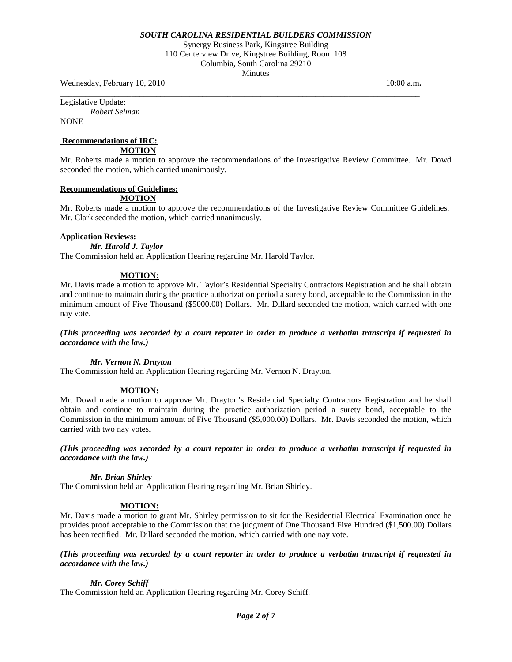Synergy Business Park, Kingstree Building 110 Centerview Drive, Kingstree Building, Room 108 Columbia, South Carolina 29210 **Minutes** 

**\_\_\_\_\_\_\_\_\_\_\_\_\_\_\_\_\_\_\_\_\_\_\_\_\_\_\_\_\_\_\_\_\_\_\_\_\_\_\_\_\_\_\_\_\_\_\_\_\_\_\_\_\_\_\_\_\_\_\_\_\_\_\_\_\_\_\_\_\_\_\_\_\_\_\_\_\_\_\_\_\_\_\_\_\_\_** 

Wednesday, February 10, 2010 10:00 a.m.

Legislative Update:

*Robert Selman* **NONE** 

# **Recommendations of IRC:**

**MOTION**

Mr. Roberts made a motion to approve the recommendations of the Investigative Review Committee. Mr. Dowd seconded the motion, which carried unanimously.

# **Recommendations of Guidelines:**

**MOTION**

Mr. Roberts made a motion to approve the recommendations of the Investigative Review Committee Guidelines. Mr. Clark seconded the motion, which carried unanimously.

### **Application Reviews:**

*Mr. Harold J. Taylor* The Commission held an Application Hearing regarding Mr. Harold Taylor.

# **MOTION:**

Mr. Davis made a motion to approve Mr. Taylor's Residential Specialty Contractors Registration and he shall obtain and continue to maintain during the practice authorization period a surety bond, acceptable to the Commission in the minimum amount of Five Thousand (\$5000.00) Dollars. Mr. Dillard seconded the motion, which carried with one nay vote.

*(This proceeding was recorded by a court reporter in order to produce a verbatim transcript if requested in accordance with the law.)*

### *Mr. Vernon N. Drayton*

The Commission held an Application Hearing regarding Mr. Vernon N. Drayton.

### **MOTION:**

Mr. Dowd made a motion to approve Mr. Drayton's Residential Specialty Contractors Registration and he shall obtain and continue to maintain during the practice authorization period a surety bond, acceptable to the Commission in the minimum amount of Five Thousand (\$5,000.00) Dollars. Mr. Davis seconded the motion, which carried with two nay votes.

*(This proceeding was recorded by a court reporter in order to produce a verbatim transcript if requested in accordance with the law.)*

### *Mr. Brian Shirley*

The Commission held an Application Hearing regarding Mr. Brian Shirley.

### **MOTION:**

Mr. Davis made a motion to grant Mr. Shirley permission to sit for the Residential Electrical Examination once he provides proof acceptable to the Commission that the judgment of One Thousand Five Hundred (\$1,500.00) Dollars has been rectified. Mr. Dillard seconded the motion, which carried with one nay vote.

### *(This proceeding was recorded by a court reporter in order to produce a verbatim transcript if requested in accordance with the law.)*

### *Mr. Corey Schiff*

The Commission held an Application Hearing regarding Mr. Corey Schiff.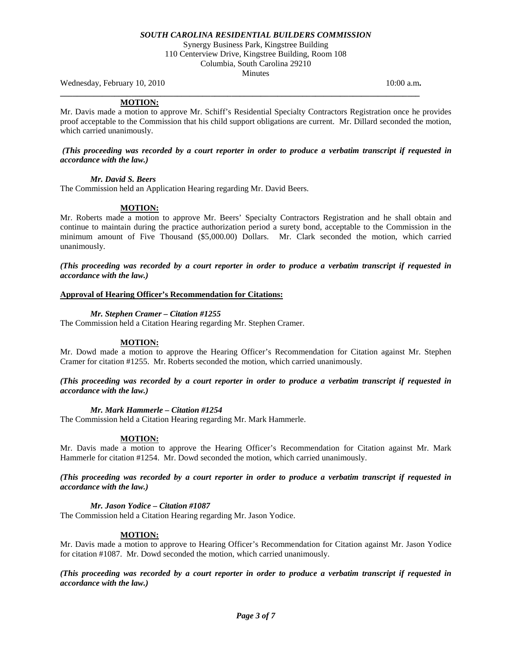Synergy Business Park, Kingstree Building 110 Centerview Drive, Kingstree Building, Room 108 Columbia, South Carolina 29210

**Minutes** 

**\_\_\_\_\_\_\_\_\_\_\_\_\_\_\_\_\_\_\_\_\_\_\_\_\_\_\_\_\_\_\_\_\_\_\_\_\_\_\_\_\_\_\_\_\_\_\_\_\_\_\_\_\_\_\_\_\_\_\_\_\_\_\_\_\_\_\_\_\_\_\_\_\_\_\_\_\_\_\_\_\_\_\_\_\_\_** 

Wednesday, February 10, 2010 10:00 a.m.

### **MOTION:**

Mr. Davis made a motion to approve Mr. Schiff's Residential Specialty Contractors Registration once he provides proof acceptable to the Commission that his child support obligations are current. Mr. Dillard seconded the motion, which carried unanimously.

#### *(This proceeding was recorded by a court reporter in order to produce a verbatim transcript if requested in accordance with the law.)*

*Mr. David S. Beers*

The Commission held an Application Hearing regarding Mr. David Beers.

### **MOTION:**

Mr. Roberts made a motion to approve Mr. Beers' Specialty Contractors Registration and he shall obtain and continue to maintain during the practice authorization period a surety bond, acceptable to the Commission in the minimum amount of Five Thousand (\$5,000.00) Dollars. Mr. Clark seconded the motion, which carried unanimously.

*(This proceeding was recorded by a court reporter in order to produce a verbatim transcript if requested in accordance with the law.)*

### **Approval of Hearing Officer's Recommendation for Citations:**

### *Mr. Stephen Cramer – Citation #1255*

The Commission held a Citation Hearing regarding Mr. Stephen Cramer.

### **MOTION:**

Mr. Dowd made a motion to approve the Hearing Officer's Recommendation for Citation against Mr. Stephen Cramer for citation #1255. Mr. Roberts seconded the motion, which carried unanimously.

### *(This proceeding was recorded by a court reporter in order to produce a verbatim transcript if requested in accordance with the law.)*

#### *Mr. Mark Hammerle – Citation #1254*

The Commission held a Citation Hearing regarding Mr. Mark Hammerle.

#### **MOTION:**

Mr. Davis made a motion to approve the Hearing Officer's Recommendation for Citation against Mr. Mark Hammerle for citation #1254. Mr. Dowd seconded the motion, which carried unanimously.

### *(This proceeding was recorded by a court reporter in order to produce a verbatim transcript if requested in accordance with the law.)*

#### *Mr. Jason Yodice – Citation #1087*

The Commission held a Citation Hearing regarding Mr. Jason Yodice.

### **MOTION:**

Mr. Davis made a motion to approve to Hearing Officer's Recommendation for Citation against Mr. Jason Yodice for citation #1087. Mr. Dowd seconded the motion, which carried unanimously.

*(This proceeding was recorded by a court reporter in order to produce a verbatim transcript if requested in accordance with the law.)*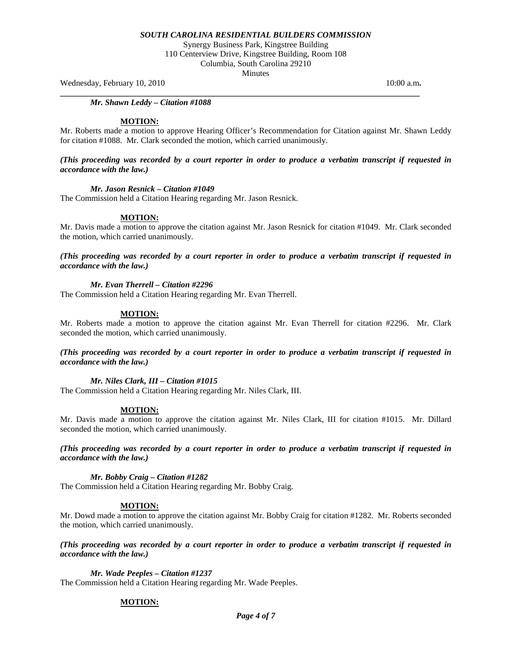Synergy Business Park, Kingstree Building

110 Centerview Drive, Kingstree Building, Room 108

Columbia, South Carolina 29210 **Minutes** 

**\_\_\_\_\_\_\_\_\_\_\_\_\_\_\_\_\_\_\_\_\_\_\_\_\_\_\_\_\_\_\_\_\_\_\_\_\_\_\_\_\_\_\_\_\_\_\_\_\_\_\_\_\_\_\_\_\_\_\_\_\_\_\_\_\_\_\_\_\_\_\_\_\_\_\_\_\_\_\_\_\_\_\_\_\_\_** 

Wednesday, February 10, 2010 10:00 a.m.

*Mr. Shawn Leddy – Citation #1088*

#### **MOTION:**

Mr. Roberts made a motion to approve Hearing Officer's Recommendation for Citation against Mr. Shawn Leddy for citation #1088. Mr. Clark seconded the motion, which carried unanimously.

*(This proceeding was recorded by a court reporter in order to produce a verbatim transcript if requested in accordance with the law.)*

#### *Mr. Jason Resnick – Citation #1049*

The Commission held a Citation Hearing regarding Mr. Jason Resnick.

#### **MOTION:**

Mr. Davis made a motion to approve the citation against Mr. Jason Resnick for citation #1049. Mr. Clark seconded the motion, which carried unanimously.

*(This proceeding was recorded by a court reporter in order to produce a verbatim transcript if requested in accordance with the law.)*

#### *Mr. Evan Therrell – Citation #2296*

The Commission held a Citation Hearing regarding Mr. Evan Therrell.

#### **MOTION:**

Mr. Roberts made a motion to approve the citation against Mr. Evan Therrell for citation #2296. Mr. Clark seconded the motion, which carried unanimously.

*(This proceeding was recorded by a court reporter in order to produce a verbatim transcript if requested in accordance with the law.)*

#### *Mr. Niles Clark, III – Citation #1015*

The Commission held a Citation Hearing regarding Mr. Niles Clark, III.

#### **MOTION:**

Mr. Davis made a motion to approve the citation against Mr. Niles Clark, III for citation #1015. Mr. Dillard seconded the motion, which carried unanimously.

*(This proceeding was recorded by a court reporter in order to produce a verbatim transcript if requested in accordance with the law.)*

*Mr. Bobby Craig – Citation #1282*

The Commission held a Citation Hearing regarding Mr. Bobby Craig.

#### **MOTION:**

Mr. Dowd made a motion to approve the citation against Mr. Bobby Craig for citation #1282. Mr. Roberts seconded the motion, which carried unanimously.

*(This proceeding was recorded by a court reporter in order to produce a verbatim transcript if requested in accordance with the law.)*

*Mr. Wade Peeples – Citation #1237* The Commission held a Citation Hearing regarding Mr. Wade Peeples.

#### **MOTION:**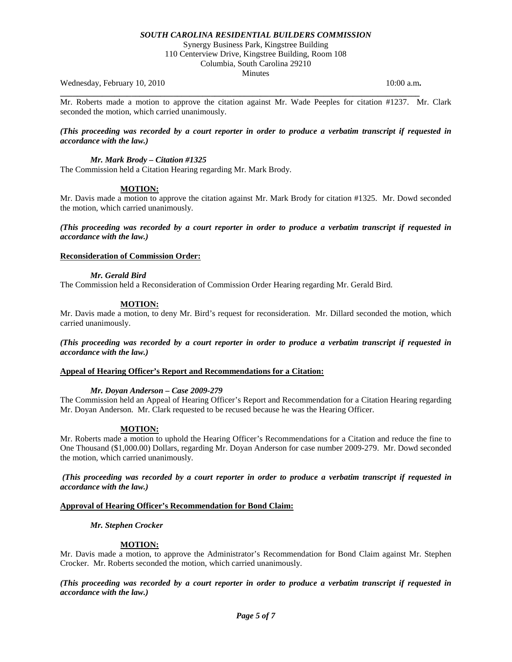Synergy Business Park, Kingstree Building

110 Centerview Drive, Kingstree Building, Room 108

Columbia, South Carolina 29210 **Minutes** 

Wednesday, February 10, 2010 10:00 a.m.

Mr. Roberts made a motion to approve the citation against Mr. Wade Peeples for citation #1237. Mr. Clark seconded the motion, which carried unanimously.

**\_\_\_\_\_\_\_\_\_\_\_\_\_\_\_\_\_\_\_\_\_\_\_\_\_\_\_\_\_\_\_\_\_\_\_\_\_\_\_\_\_\_\_\_\_\_\_\_\_\_\_\_\_\_\_\_\_\_\_\_\_\_\_\_\_\_\_\_\_\_\_\_\_\_\_\_\_\_\_\_\_\_\_\_\_\_** 

#### *(This proceeding was recorded by a court reporter in order to produce a verbatim transcript if requested in accordance with the law.)*

### *Mr. Mark Brody – Citation #1325*

The Commission held a Citation Hearing regarding Mr. Mark Brody.

### **MOTION:**

Mr. Davis made a motion to approve the citation against Mr. Mark Brody for citation #1325. Mr. Dowd seconded the motion, which carried unanimously.

*(This proceeding was recorded by a court reporter in order to produce a verbatim transcript if requested in accordance with the law.)*

#### **Reconsideration of Commission Order:**

*Mr. Gerald Bird* The Commission held a Reconsideration of Commission Order Hearing regarding Mr. Gerald Bird.

### **MOTION:**

Mr. Davis made a motion, to deny Mr. Bird's request for reconsideration. Mr. Dillard seconded the motion, which carried unanimously.

*(This proceeding was recorded by a court reporter in order to produce a verbatim transcript if requested in accordance with the law.)*

### **Appeal of Hearing Officer's Report and Recommendations for a Citation:**

### *Mr. Doyan Anderson – Case 2009-279*

The Commission held an Appeal of Hearing Officer's Report and Recommendation for a Citation Hearing regarding Mr. Doyan Anderson. Mr. Clark requested to be recused because he was the Hearing Officer.

### **MOTION:**

Mr. Roberts made a motion to uphold the Hearing Officer's Recommendations for a Citation and reduce the fine to One Thousand (\$1,000.00) Dollars, regarding Mr. Doyan Anderson for case number 2009-279. Mr. Dowd seconded the motion, which carried unanimously.

*(This proceeding was recorded by a court reporter in order to produce a verbatim transcript if requested in accordance with the law.)*

#### **Approval of Hearing Officer's Recommendation for Bond Claim:**

#### *Mr. Stephen Crocker*

### **MOTION:**

Mr. Davis made a motion, to approve the Administrator's Recommendation for Bond Claim against Mr. Stephen Crocker. Mr. Roberts seconded the motion, which carried unanimously.

*(This proceeding was recorded by a court reporter in order to produce a verbatim transcript if requested in accordance with the law.)*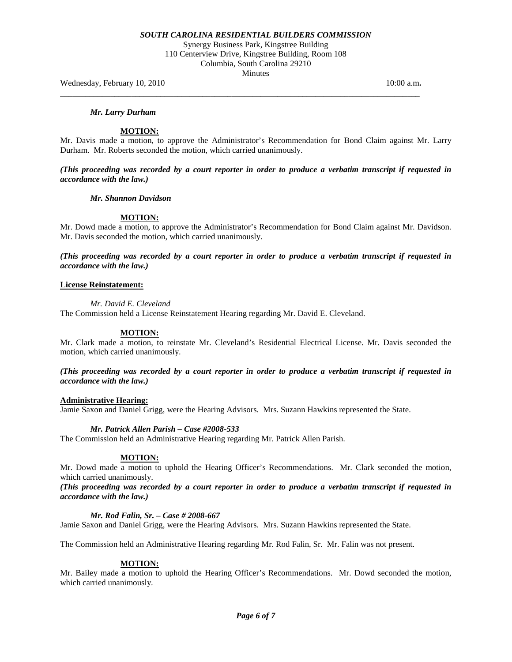Synergy Business Park, Kingstree Building 110 Centerview Drive, Kingstree Building, Room 108 Columbia, South Carolina 29210

**Minutes** 

**\_\_\_\_\_\_\_\_\_\_\_\_\_\_\_\_\_\_\_\_\_\_\_\_\_\_\_\_\_\_\_\_\_\_\_\_\_\_\_\_\_\_\_\_\_\_\_\_\_\_\_\_\_\_\_\_\_\_\_\_\_\_\_\_\_\_\_\_\_\_\_\_\_\_\_\_\_\_\_\_\_\_\_\_\_\_** 

Wednesday, February 10, 2010 10:00 a.m.

#### *Mr. Larry Durham*

#### **MOTION:**

Mr. Davis made a motion, to approve the Administrator's Recommendation for Bond Claim against Mr. Larry Durham. Mr. Roberts seconded the motion, which carried unanimously.

*(This proceeding was recorded by a court reporter in order to produce a verbatim transcript if requested in accordance with the law.)*

#### *Mr. Shannon Davidson*

#### **MOTION:**

Mr. Dowd made a motion, to approve the Administrator's Recommendation for Bond Claim against Mr. Davidson. Mr. Davis seconded the motion, which carried unanimously.

*(This proceeding was recorded by a court reporter in order to produce a verbatim transcript if requested in accordance with the law.)*

#### **License Reinstatement:**

*Mr. David E. Cleveland*

The Commission held a License Reinstatement Hearing regarding Mr. David E. Cleveland.

#### **MOTION:**

Mr. Clark made a motion, to reinstate Mr. Cleveland's Residential Electrical License. Mr. Davis seconded the motion, which carried unanimously.

### *(This proceeding was recorded by a court reporter in order to produce a verbatim transcript if requested in accordance with the law.)*

#### **Administrative Hearing:**

Jamie Saxon and Daniel Grigg, were the Hearing Advisors. Mrs. Suzann Hawkins represented the State.

## *Mr. Patrick Allen Parish – Case #2008-533*

The Commission held an Administrative Hearing regarding Mr. Patrick Allen Parish.

#### **MOTION:**

Mr. Dowd made a motion to uphold the Hearing Officer's Recommendations. Mr. Clark seconded the motion, which carried unanimously.

### *(This proceeding was recorded by a court reporter in order to produce a verbatim transcript if requested in accordance with the law.)*

#### *Mr. Rod Falin, Sr. – Case # 2008-667*

Jamie Saxon and Daniel Grigg, were the Hearing Advisors. Mrs. Suzann Hawkins represented the State.

The Commission held an Administrative Hearing regarding Mr. Rod Falin, Sr. Mr. Falin was not present.

#### **MOTION:**

Mr. Bailey made a motion to uphold the Hearing Officer's Recommendations. Mr. Dowd seconded the motion, which carried unanimously.